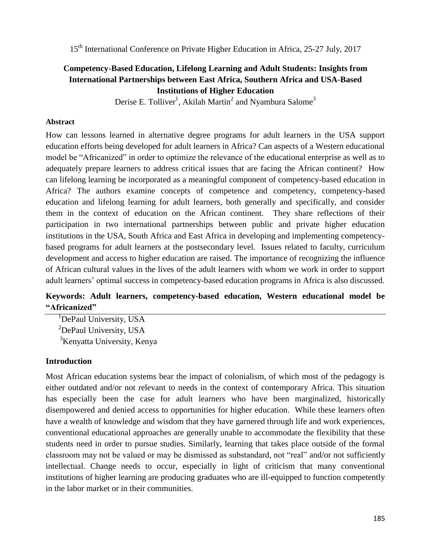### **Competency-Based Education, Lifelong Learning and Adult Students: Insights from International Partnerships between East Africa, Southern Africa and USA-Based Institutions of Higher Education**

Derise E. Tolliver<sup>1</sup>, Akilah Martin<sup>2</sup> and Nyambura Salome<sup>3</sup>

#### **Abstract**

How can lessons learned in alternative degree programs for adult learners in the USA support education efforts being developed for adult learners in Africa? Can aspects of a Western educational model be "Africanized" in order to optimize the relevance of the educational enterprise as well as to adequately prepare learners to address critical issues that are facing the African continent? How can lifelong learning be incorporated as a meaningful component of competency-based education in Africa? The authors examine concepts of competence and competency, competency-based education and lifelong learning for adult learners, both generally and specifically, and consider them in the context of education on the African continent. They share reflections of their participation in two international partnerships between public and private higher education institutions in the USA, South Africa and East Africa in developing and implementing competencybased programs for adult learners at the postsecondary level. Issues related to faculty, curriculum development and access to higher education are raised. The importance of recognizing the influence of African cultural values in the lives of the adult learners with whom we work in order to support adult learners' optimal success in competency-based education programs in Africa is also discussed.

### **Keywords: Adult learners, competency-based education, Western educational model be "Africanized"**

<sup>1</sup>DePaul University, USA <sup>2</sup>DePaul University, USA <sup>3</sup>Kenyatta University, Kenya

#### **Introduction**

Most African education systems bear the impact of colonialism, of which most of the pedagogy is either outdated and/or not relevant to needs in the context of contemporary Africa. This situation has especially been the case for adult learners who have been marginalized, historically disempowered and denied access to opportunities for higher education. While these learners often have a wealth of knowledge and wisdom that they have garnered through life and work experiences, conventional educational approaches are generally unable to accommodate the flexibility that these students need in order to pursue studies. Similarly, learning that takes place outside of the formal classroom may not be valued or may be dismissed as substandard, not "real" and/or not sufficiently intellectual. Change needs to occur, especially in light of criticism that many conventional institutions of higher learning are producing graduates who are ill-equipped to function competently in the labor market or in their communities.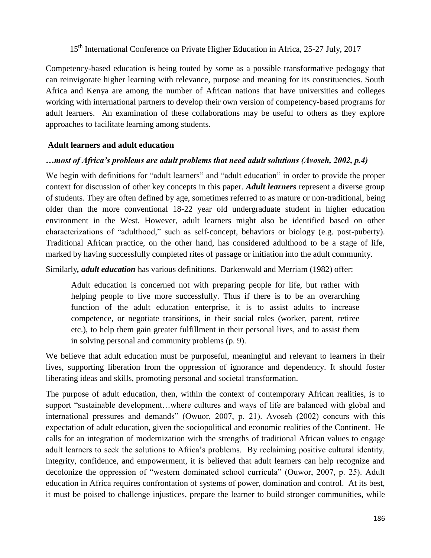Competency-based education is being touted by some as a possible transformative pedagogy that can reinvigorate higher learning with relevance, purpose and meaning for its constituencies. South Africa and Kenya are among the number of African nations that have universities and colleges working with international partners to develop their own version of competency-based programs for adult learners. An examination of these collaborations may be useful to others as they explore approaches to facilitate learning among students.

#### **Adult learners and adult education**

#### *…most of Africa's problems are adult problems that need adult solutions (Avoseh, 2002, p.4)*

We begin with definitions for "adult learners" and "adult education" in order to provide the proper context for discussion of other key concepts in this paper. *Adult learners* represent a diverse group of students. They are often defined by age, sometimes referred to as mature or non-traditional, being older than the more conventional 18-22 year old undergraduate student in higher education environment in the West. However, adult learners might also be identified based on other characterizations of "adulthood," such as self-concept, behaviors or biology (e.g. post-puberty). Traditional African practice, on the other hand, has considered adulthood to be a stage of life, marked by having successfully completed rites of passage or initiation into the adult community.

Similarly*, adult education* has various definitions. Darkenwald and Merriam (1982) offer:

Adult education is concerned not with preparing people for life, but rather with helping people to live more successfully. Thus if there is to be an overarching function of the adult education enterprise, it is to assist adults to increase competence, or negotiate transitions, in their social roles (worker, parent, retiree etc.), to help them gain greater fulfillment in their personal lives, and to assist them in solving personal and community problems (p. 9).

We believe that adult education must be purposeful, meaningful and relevant to learners in their lives, supporting liberation from the oppression of ignorance and dependency. It should foster liberating ideas and skills, promoting personal and societal transformation.

The purpose of adult education, then, within the context of contemporary African realities, is to support "sustainable development...where cultures and ways of life are balanced with global and international pressures and demands" (Owuor, 2007, p. 21). Avoseh (2002) concurs with this expectation of adult education, given the sociopolitical and economic realities of the Continent. He calls for an integration of modernization with the strengths of traditional African values to engage adult learners to seek the solutions to Africa's problems. By reclaiming positive cultural identity, integrity, confidence, and empowerment, it is believed that adult learners can help recognize and decolonize the oppression of "western dominated school curricula" (Ouwor, 2007, p. 25). Adult education in Africa requires confrontation of systems of power, domination and control. At its best, it must be poised to challenge injustices, prepare the learner to build stronger communities, while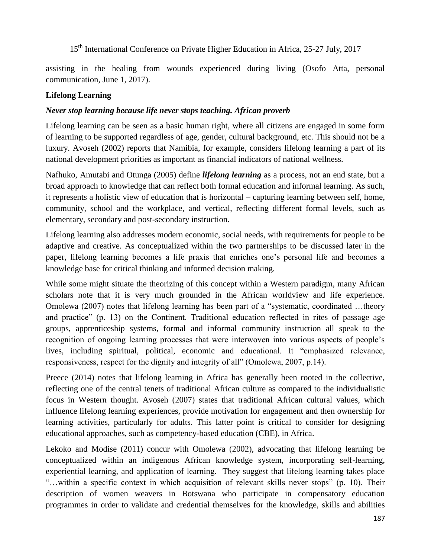assisting in the healing from wounds experienced during living (Osofo Atta, personal communication, June 1, 2017).

### **Lifelong Learning**

### *Never stop learning because life never stops teaching. African proverb*

Lifelong learning can be seen as a basic human right, where all citizens are engaged in some form of learning to be supported regardless of age, gender, cultural background, etc. This should not be a luxury. Avoseh (2002) reports that Namibia, for example, considers lifelong learning a part of its national development priorities as important as financial indicators of national wellness.

Nafhuko, Amutabi and Otunga (2005) define *lifelong learning* as a process, not an end state, but a broad approach to knowledge that can reflect both formal education and informal learning. As such, it represents a holistic view of education that is horizontal – capturing learning between self, home, community, school and the workplace, and vertical, reflecting different formal levels, such as elementary, secondary and post-secondary instruction.

Lifelong learning also addresses modern economic, social needs, with requirements for people to be adaptive and creative. As conceptualized within the two partnerships to be discussed later in the paper, lifelong learning becomes a life praxis that enriches one's personal life and becomes a knowledge base for critical thinking and informed decision making.

While some might situate the theorizing of this concept within a Western paradigm, many African scholars note that it is very much grounded in the African worldview and life experience. Omolewa (2007) notes that lifelong learning has been part of a "systematic, coordinated ...theory and practice" (p. 13) on the Continent. Traditional education reflected in rites of passage age groups, apprenticeship systems, formal and informal community instruction all speak to the recognition of ongoing learning processes that were interwoven into various aspects of people's lives, including spiritual, political, economic and educational. It "emphasized relevance, responsiveness, respect for the dignity and integrity of all" (Omolewa, 2007, p.14).

Preece (2014) notes that lifelong learning in Africa has generally been rooted in the collective, reflecting one of the central tenets of traditional African culture as compared to the individualistic focus in Western thought. Avoseh (2007) states that traditional African cultural values, which influence lifelong learning experiences, provide motivation for engagement and then ownership for learning activities, particularly for adults. This latter point is critical to consider for designing educational approaches, such as competency-based education (CBE), in Africa.

Lekoko and Modise (2011) concur with Omolewa (2002), advocating that lifelong learning be conceptualized within an indigenous African knowledge system, incorporating self-learning, experiential learning, and application of learning. They suggest that lifelong learning takes place "...within a specific context in which acquisition of relevant skills never stops" (p. 10). Their description of women weavers in Botswana who participate in compensatory education programmes in order to validate and credential themselves for the knowledge, skills and abilities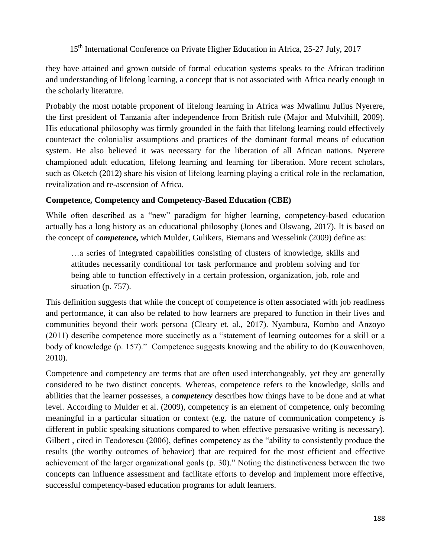they have attained and grown outside of formal education systems speaks to the African tradition and understanding of lifelong learning, a concept that is not associated with Africa nearly enough in the scholarly literature.

Probably the most notable proponent of lifelong learning in Africa was Mwalimu Julius Nyerere, the first president of Tanzania after independence from British rule (Major and Mulvihill, 2009). His educational philosophy was firmly grounded in the faith that lifelong learning could effectively counteract the colonialist assumptions and practices of the dominant formal means of education system. He also believed it was necessary for the liberation of all African nations. Nyerere championed adult education, lifelong learning and learning for liberation. More recent scholars, such as Oketch (2012) share his vision of lifelong learning playing a critical role in the reclamation, revitalization and re-ascension of Africa.

### **Competence, Competency and Competency-Based Education (CBE)**

While often described as a "new" paradigm for higher learning, competency-based education actually has a long history as an educational philosophy (Jones and Olswang, 2017). It is based on the concept of *competence,* which Mulder, Gulikers, Biemans and Wesselink (2009) define as:

…a series of integrated capabilities consisting of clusters of knowledge, skills and attitudes necessarily conditional for task performance and problem solving and for being able to function effectively in a certain profession, organization, job, role and situation (p. 757).

This definition suggests that while the concept of competence is often associated with job readiness and performance, it can also be related to how learners are prepared to function in their lives and communities beyond their work persona (Cleary et. al., 2017). Nyambura, Kombo and Anzoyo (2011) describe competence more succinctly as a "statement of learning outcomes for a skill or a body of knowledge (p. 157)." Competence suggests knowing and the ability to do (Kouwenhoven, 2010).

Competence and competency are terms that are often used interchangeably, yet they are generally considered to be two distinct concepts. Whereas, competence refers to the knowledge, skills and abilities that the learner possesses, a *competency* describes how things have to be done and at what level. According to Mulder et al. (2009), competency is an element of competence, only becoming meaningful in a particular situation or context (e.g. the nature of communication competency is different in public speaking situations compared to when effective persuasive writing is necessary). Gilbert, cited in Teodorescu (2006), defines competency as the "ability to consistently produce the results (the worthy outcomes of behavior) that are required for the most efficient and effective achievement of the larger organizational goals (p. 30)." Noting the distinctiveness between the two concepts can influence assessment and facilitate efforts to develop and implement more effective, successful competency-based education programs for adult learners.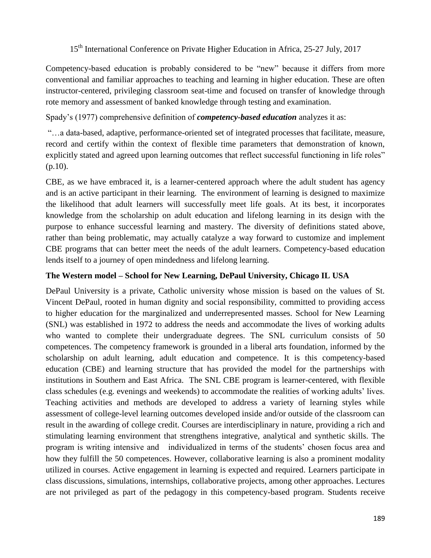Competency-based education is probably considered to be "new" because it differs from more conventional and familiar approaches to teaching and learning in higher education. These are often instructor-centered, privileging classroom seat-time and focused on transfer of knowledge through rote memory and assessment of banked knowledge through testing and examination.

Spady's (1977) comprehensive definition of *competency-based education* analyzes it as:

―…a data-based, adaptive, performance-oriented set of integrated processes that facilitate, measure, record and certify within the context of flexible time parameters that demonstration of known, explicitly stated and agreed upon learning outcomes that reflect successful functioning in life roles" (p.10).

CBE, as we have embraced it, is a learner-centered approach where the adult student has agency and is an active participant in their learning. The environment of learning is designed to maximize the likelihood that adult learners will successfully meet life goals. At its best, it incorporates knowledge from the scholarship on adult education and lifelong learning in its design with the purpose to enhance successful learning and mastery. The diversity of definitions stated above, rather than being problematic, may actually catalyze a way forward to customize and implement CBE programs that can better meet the needs of the adult learners. Competency-based education lends itself to a journey of open mindedness and lifelong learning.

#### **The Western model – School for New Learning, DePaul University, Chicago IL USA**

DePaul University is a private, Catholic university whose mission is based on the values of St. Vincent DePaul, rooted in human dignity and social responsibility, committed to providing access to higher education for the marginalized and underrepresented masses. School for New Learning (SNL) was established in 1972 to address the needs and accommodate the lives of working adults who wanted to complete their undergraduate degrees. The SNL curriculum consists of 50 competences. The competency framework is grounded in a liberal arts foundation, informed by the scholarship on adult learning, adult education and competence. It is this competency-based education (CBE) and learning structure that has provided the model for the partnerships with institutions in Southern and East Africa. The SNL CBE program is learner-centered, with flexible class schedules (e.g. evenings and weekends) to accommodate the realities of working adults' lives. Teaching activities and methods are developed to address a variety of learning styles while assessment of college-level learning outcomes developed inside and/or outside of the classroom can result in the awarding of college credit. Courses are interdisciplinary in nature, providing a rich and stimulating learning environment that strengthens integrative, analytical and synthetic skills. The program is writing intensive and individualized in terms of the students' chosen focus area and how they fulfill the 50 competences. However, collaborative learning is also a prominent modality utilized in courses. Active engagement in learning is expected and required. Learners participate in class discussions, simulations, internships, collaborative projects, among other approaches. Lectures are not privileged as part of the pedagogy in this competency-based program. Students receive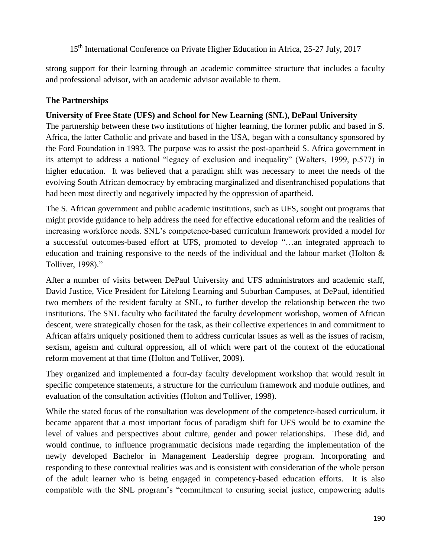strong support for their learning through an academic committee structure that includes a faculty and professional advisor, with an academic advisor available to them.

# **The Partnerships**

### **University of Free State (UFS) and School for New Learning (SNL), DePaul University**

The partnership between these two institutions of higher learning, the former public and based in S. Africa, the latter Catholic and private and based in the USA, began with a consultancy sponsored by the Ford Foundation in 1993. The purpose was to assist the post-apartheid S. Africa government in its attempt to address a national "legacy of exclusion and inequality" (Walters, 1999, p.577) in higher education. It was believed that a paradigm shift was necessary to meet the needs of the evolving South African democracy by embracing marginalized and disenfranchised populations that had been most directly and negatively impacted by the oppression of apartheid.

The S. African government and public academic institutions, such as UFS, sought out programs that might provide guidance to help address the need for effective educational reform and the realities of increasing workforce needs. SNL's competence-based curriculum framework provided a model for a successful outcomes-based effort at UFS, promoted to develop "...an integrated approach to education and training responsive to the needs of the individual and the labour market (Holton & Tolliver, 1998)."

After a number of visits between DePaul University and UFS administrators and academic staff, David Justice, Vice President for Lifelong Learning and Suburban Campuses, at DePaul, identified two members of the resident faculty at SNL, to further develop the relationship between the two institutions. The SNL faculty who facilitated the faculty development workshop, women of African descent, were strategically chosen for the task, as their collective experiences in and commitment to African affairs uniquely positioned them to address curricular issues as well as the issues of racism, sexism, ageism and cultural oppression, all of which were part of the context of the educational reform movement at that time (Holton and Tolliver, 2009).

They organized and implemented a four-day faculty development workshop that would result in specific competence statements, a structure for the curriculum framework and module outlines, and evaluation of the consultation activities (Holton and Tolliver, 1998).

While the stated focus of the consultation was development of the competence-based curriculum, it became apparent that a most important focus of paradigm shift for UFS would be to examine the level of values and perspectives about culture, gender and power relationships. These did, and would continue, to influence programmatic decisions made regarding the implementation of the newly developed Bachelor in Management Leadership degree program. Incorporating and responding to these contextual realities was and is consistent with consideration of the whole person of the adult learner who is being engaged in competency-based education efforts. It is also compatible with the SNL program's "commitment to ensuring social justice, empowering adults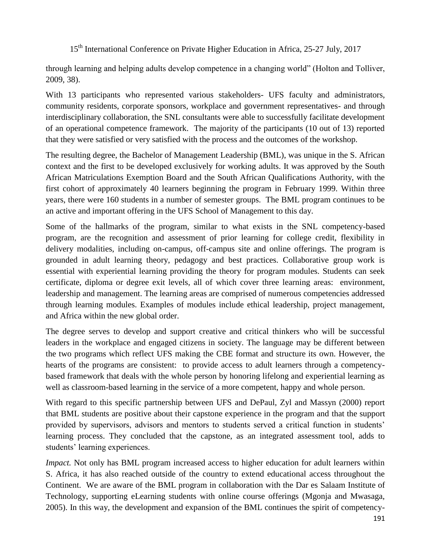through learning and helping adults develop competence in a changing world‖ (Holton and Tolliver, 2009, 38).

With 13 participants who represented various stakeholders- UFS faculty and administrators, community residents, corporate sponsors, workplace and government representatives- and through interdisciplinary collaboration, the SNL consultants were able to successfully facilitate development of an operational competence framework. The majority of the participants (10 out of 13) reported that they were satisfied or very satisfied with the process and the outcomes of the workshop.

The resulting degree, the Bachelor of Management Leadership (BML), was unique in the S. African context and the first to be developed exclusively for working adults. It was approved by the South African Matriculations Exemption Board and the South African Qualifications Authority, with the first cohort of approximately 40 learners beginning the program in February 1999. Within three years, there were 160 students in a number of semester groups. The BML program continues to be an active and important offering in the UFS School of Management to this day.

Some of the hallmarks of the program, similar to what exists in the SNL competency-based program, are the recognition and assessment of prior learning for college credit, flexibility in delivery modalities, including on-campus, off-campus site and online offerings. The program is grounded in adult learning theory, pedagogy and best practices. Collaborative group work is essential with experiential learning providing the theory for program modules. Students can seek certificate, diploma or degree exit levels, all of which cover three learning areas: environment, leadership and management. The learning areas are comprised of numerous competencies addressed through learning modules. Examples of modules include ethical leadership, project management, and Africa within the new global order.

The degree serves to develop and support creative and critical thinkers who will be successful leaders in the workplace and engaged citizens in society. The language may be different between the two programs which reflect UFS making the CBE format and structure its own. However, the hearts of the programs are consistent: to provide access to adult learners through a competencybased framework that deals with the whole person by honoring lifelong and experiential learning as well as classroom-based learning in the service of a more competent, happy and whole person.

With regard to this specific partnership between UFS and DePaul, Zyl and Massyn (2000) report that BML students are positive about their capstone experience in the program and that the support provided by supervisors, advisors and mentors to students served a critical function in students' learning process. They concluded that the capstone, as an integrated assessment tool, adds to students' learning experiences.

*Impact.* Not only has BML program increased access to higher education for adult learners within S. Africa, it has also reached outside of the country to extend educational access throughout the Continent. We are aware of the BML program in collaboration with the Dar es Salaam Institute of Technology, supporting eLearning students with online course offerings (Mgonja and Mwasaga, 2005). In this way, the development and expansion of the BML continues the spirit of competency-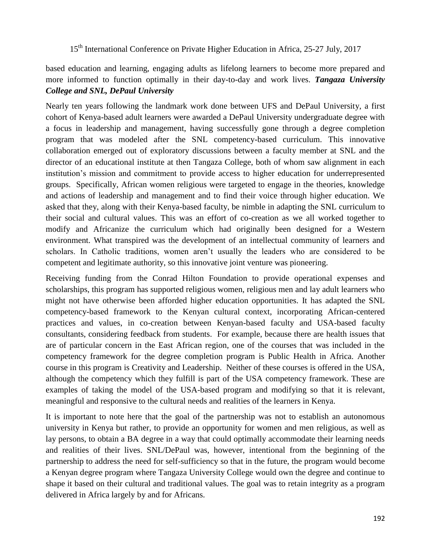based education and learning, engaging adults as lifelong learners to become more prepared and more informed to function optimally in their day-to-day and work lives. *Tangaza University College and SNL, DePaul University*

Nearly ten years following the landmark work done between UFS and DePaul University, a first cohort of Kenya-based adult learners were awarded a DePaul University undergraduate degree with a focus in leadership and management, having successfully gone through a degree completion program that was modeled after the SNL competency-based curriculum. This innovative collaboration emerged out of exploratory discussions between a faculty member at SNL and the director of an educational institute at then Tangaza College, both of whom saw alignment in each institution's mission and commitment to provide access to higher education for underrepresented groups. Specifically, African women religious were targeted to engage in the theories, knowledge and actions of leadership and management and to find their voice through higher education. We asked that they, along with their Kenya-based faculty, be nimble in adapting the SNL curriculum to their social and cultural values. This was an effort of co-creation as we all worked together to modify and Africanize the curriculum which had originally been designed for a Western environment. What transpired was the development of an intellectual community of learners and scholars. In Catholic traditions, women aren't usually the leaders who are considered to be competent and legitimate authority, so this innovative joint venture was pioneering.

Receiving funding from the Conrad Hilton Foundation to provide operational expenses and scholarships, this program has supported religious women, religious men and lay adult learners who might not have otherwise been afforded higher education opportunities. It has adapted the SNL competency-based framework to the Kenyan cultural context, incorporating African-centered practices and values, in co-creation between Kenyan-based faculty and USA-based faculty consultants, considering feedback from students. For example, because there are health issues that are of particular concern in the East African region, one of the courses that was included in the competency framework for the degree completion program is Public Health in Africa. Another course in this program is Creativity and Leadership. Neither of these courses is offered in the USA, although the competency which they fulfill is part of the USA competency framework. These are examples of taking the model of the USA-based program and modifying so that it is relevant, meaningful and responsive to the cultural needs and realities of the learners in Kenya.

It is important to note here that the goal of the partnership was not to establish an autonomous university in Kenya but rather, to provide an opportunity for women and men religious, as well as lay persons, to obtain a BA degree in a way that could optimally accommodate their learning needs and realities of their lives. SNL/DePaul was, however, intentional from the beginning of the partnership to address the need for self-sufficiency so that in the future, the program would become a Kenyan degree program where Tangaza University College would own the degree and continue to shape it based on their cultural and traditional values. The goal was to retain integrity as a program delivered in Africa largely by and for Africans.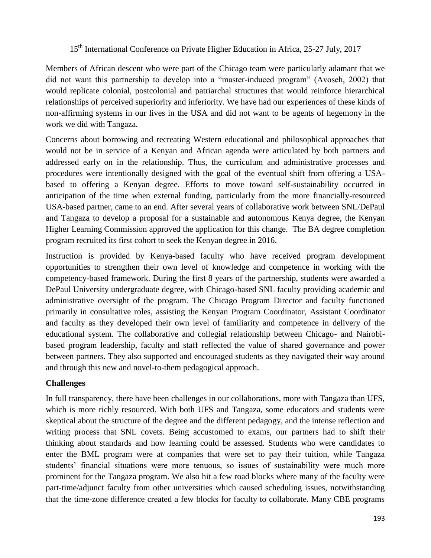Members of African descent who were part of the Chicago team were particularly adamant that we did not want this partnership to develop into a "master-induced program" (Avoseh, 2002) that would replicate colonial, postcolonial and patriarchal structures that would reinforce hierarchical relationships of perceived superiority and inferiority. We have had our experiences of these kinds of non-affirming systems in our lives in the USA and did not want to be agents of hegemony in the work we did with Tangaza.

Concerns about borrowing and recreating Western educational and philosophical approaches that would not be in service of a Kenyan and African agenda were articulated by both partners and addressed early on in the relationship. Thus, the curriculum and administrative processes and procedures were intentionally designed with the goal of the eventual shift from offering a USAbased to offering a Kenyan degree. Efforts to move toward self-sustainability occurred in anticipation of the time when external funding, particularly from the more financially-resourced USA-based partner, came to an end. After several years of collaborative work between SNL/DePaul and Tangaza to develop a proposal for a sustainable and autonomous Kenya degree, the Kenyan Higher Learning Commission approved the application for this change. The BA degree completion program recruited its first cohort to seek the Kenyan degree in 2016.

Instruction is provided by Kenya-based faculty who have received program development opportunities to strengthen their own level of knowledge and competence in working with the competency-based framework. During the first 8 years of the partnership, students were awarded a DePaul University undergraduate degree, with Chicago-based SNL faculty providing academic and administrative oversight of the program. The Chicago Program Director and faculty functioned primarily in consultative roles, assisting the Kenyan Program Coordinator, Assistant Coordinator and faculty as they developed their own level of familiarity and competence in delivery of the educational system. The collaborative and collegial relationship between Chicago- and Nairobibased program leadership, faculty and staff reflected the value of shared governance and power between partners. They also supported and encouraged students as they navigated their way around and through this new and novel-to-them pedagogical approach.

### **Challenges**

In full transparency, there have been challenges in our collaborations, more with Tangaza than UFS, which is more richly resourced. With both UFS and Tangaza, some educators and students were skeptical about the structure of the degree and the different pedagogy, and the intense reflection and writing process that SNL covets. Being accustomed to exams, our partners had to shift their thinking about standards and how learning could be assessed. Students who were candidates to enter the BML program were at companies that were set to pay their tuition, while Tangaza students' financial situations were more tenuous, so issues of sustainability were much more prominent for the Tangaza program. We also hit a few road blocks where many of the faculty were part-time/adjunct faculty from other universities which caused scheduling issues, notwithstanding that the time-zone difference created a few blocks for faculty to collaborate. Many CBE programs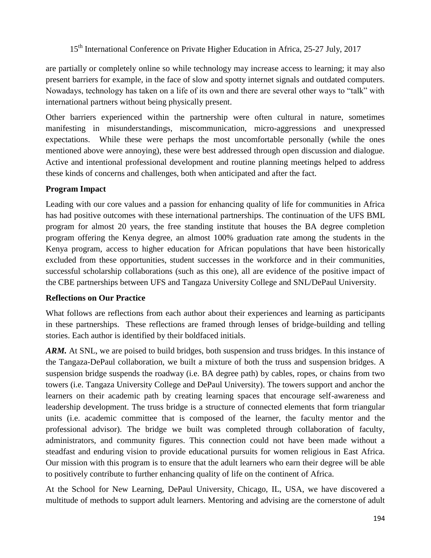are partially or completely online so while technology may increase access to learning; it may also present barriers for example, in the face of slow and spotty internet signals and outdated computers. Nowadays, technology has taken on a life of its own and there are several other ways to "talk" with international partners without being physically present.

Other barriers experienced within the partnership were often cultural in nature, sometimes manifesting in misunderstandings, miscommunication, micro-aggressions and unexpressed expectations. While these were perhaps the most uncomfortable personally (while the ones mentioned above were annoying), these were best addressed through open discussion and dialogue. Active and intentional professional development and routine planning meetings helped to address these kinds of concerns and challenges, both when anticipated and after the fact.

### **Program Impact**

Leading with our core values and a passion for enhancing quality of life for communities in Africa has had positive outcomes with these international partnerships. The continuation of the UFS BML program for almost 20 years, the free standing institute that houses the BA degree completion program offering the Kenya degree, an almost 100% graduation rate among the students in the Kenya program, access to higher education for African populations that have been historically excluded from these opportunities, student successes in the workforce and in their communities, successful scholarship collaborations (such as this one), all are evidence of the positive impact of the CBE partnerships between UFS and Tangaza University College and SNL/DePaul University.

### **Reflections on Our Practice**

What follows are reflections from each author about their experiences and learning as participants in these partnerships. These reflections are framed through lenses of bridge-building and telling stories. Each author is identified by their boldfaced initials.

*ARM.* At SNL, we are poised to build bridges, both suspension and truss bridges. In this instance of the Tangaza-DePaul collaboration, we built a mixture of both the truss and suspension bridges. A suspension bridge suspends the roadway (i.e. BA degree path) by cables, ropes, or chains from two towers (i.e. Tangaza University College and DePaul University). The towers support and anchor the learners on their academic path by creating learning spaces that encourage self-awareness and leadership development. The truss bridge is a structure of connected elements that form triangular units (i.e. academic committee that is composed of the learner, the faculty mentor and the professional advisor). The bridge we built was completed through collaboration of faculty, administrators, and community figures. This connection could not have been made without a steadfast and enduring vision to provide educational pursuits for women religious in East Africa. Our mission with this program is to ensure that the adult learners who earn their degree will be able to positively contribute to further enhancing quality of life on the continent of Africa.

At the School for New Learning, DePaul University, Chicago, IL, USA, we have discovered a multitude of methods to support adult learners. Mentoring and advising are the cornerstone of adult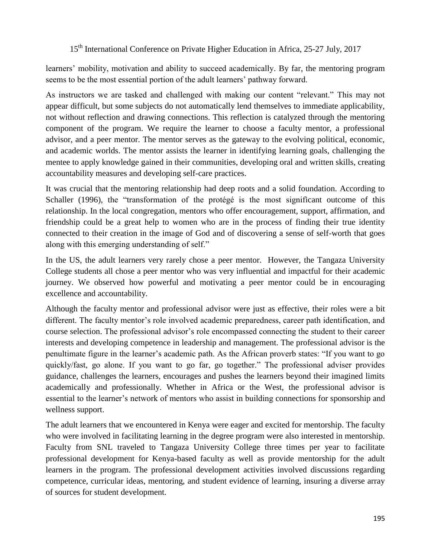learners' mobility, motivation and ability to succeed academically. By far, the mentoring program seems to be the most essential portion of the adult learners' pathway forward.

As instructors we are tasked and challenged with making our content "relevant." This may not appear difficult, but some subjects do not automatically lend themselves to immediate applicability, not without reflection and drawing connections. This reflection is catalyzed through the mentoring component of the program. We require the learner to choose a faculty mentor, a professional advisor, and a peer mentor. The mentor serves as the gateway to the evolving political, economic, and academic worlds. The mentor assists the learner in identifying learning goals, challenging the mentee to apply knowledge gained in their communities, developing oral and written skills, creating accountability measures and developing self-care practices.

It was crucial that the mentoring relationship had deep roots and a solid foundation. According to Schaller (1996), the "transformation of the protégé is the most significant outcome of this relationship. In the local congregation, mentors who offer encouragement, support, affirmation, and friendship could be a great help to women who are in the process of finding their true identity connected to their creation in the image of God and of discovering a sense of self-worth that goes along with this emerging understanding of self."

In the US, the adult learners very rarely chose a peer mentor. However, the Tangaza University College students all chose a peer mentor who was very influential and impactful for their academic journey. We observed how powerful and motivating a peer mentor could be in encouraging excellence and accountability.

Although the faculty mentor and professional advisor were just as effective, their roles were a bit different. The faculty mentor's role involved academic preparedness, career path identification, and course selection. The professional advisor's role encompassed connecting the student to their career interests and developing competence in leadership and management. The professional advisor is the penultimate figure in the learner's academic path. As the African proverb states: "If you want to go quickly/fast, go alone. If you want to go far, go together." The professional adviser provides guidance, challenges the learners, encourages and pushes the learners beyond their imagined limits academically and professionally. Whether in Africa or the West, the professional advisor is essential to the learner's network of mentors who assist in building connections for sponsorship and wellness support.

The adult learners that we encountered in Kenya were eager and excited for mentorship. The faculty who were involved in facilitating learning in the degree program were also interested in mentorship. Faculty from SNL traveled to Tangaza University College three times per year to facilitate professional development for Kenya-based faculty as well as provide mentorship for the adult learners in the program. The professional development activities involved discussions regarding competence, curricular ideas, mentoring, and student evidence of learning, insuring a diverse array of sources for student development.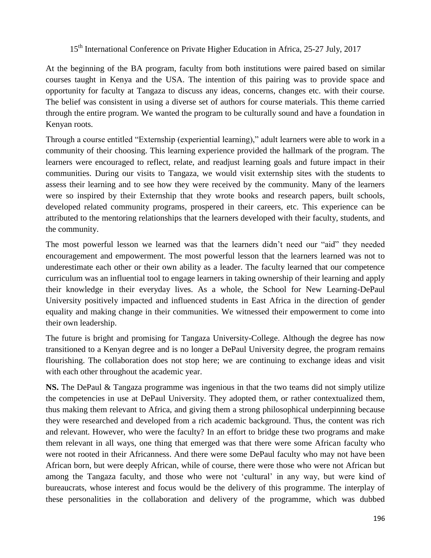At the beginning of the BA program, faculty from both institutions were paired based on similar courses taught in Kenya and the USA. The intention of this pairing was to provide space and opportunity for faculty at Tangaza to discuss any ideas, concerns, changes etc. with their course. The belief was consistent in using a diverse set of authors for course materials. This theme carried through the entire program. We wanted the program to be culturally sound and have a foundation in Kenyan roots.

Through a course entitled "Externship (experiential learning)," adult learners were able to work in a community of their choosing. This learning experience provided the hallmark of the program. The learners were encouraged to reflect, relate, and readjust learning goals and future impact in their communities. During our visits to Tangaza, we would visit externship sites with the students to assess their learning and to see how they were received by the community. Many of the learners were so inspired by their Externship that they wrote books and research papers, built schools, developed related community programs, prospered in their careers, etc. This experience can be attributed to the mentoring relationships that the learners developed with their faculty, students, and the community.

The most powerful lesson we learned was that the learners didn't need our "aid" they needed encouragement and empowerment. The most powerful lesson that the learners learned was not to underestimate each other or their own ability as a leader. The faculty learned that our competence curriculum was an influential tool to engage learners in taking ownership of their learning and apply their knowledge in their everyday lives. As a whole, the School for New Learning-DePaul University positively impacted and influenced students in East Africa in the direction of gender equality and making change in their communities. We witnessed their empowerment to come into their own leadership.

The future is bright and promising for Tangaza University-College. Although the degree has now transitioned to a Kenyan degree and is no longer a DePaul University degree, the program remains flourishing. The collaboration does not stop here; we are continuing to exchange ideas and visit with each other throughout the academic year.

**NS.** The DePaul & Tangaza programme was ingenious in that the two teams did not simply utilize the competencies in use at DePaul University. They adopted them, or rather contextualized them, thus making them relevant to Africa, and giving them a strong philosophical underpinning because they were researched and developed from a rich academic background. Thus, the content was rich and relevant. However, who were the faculty? In an effort to bridge these two programs and make them relevant in all ways, one thing that emerged was that there were some African faculty who were not rooted in their Africanness. And there were some DePaul faculty who may not have been African born, but were deeply African, while of course, there were those who were not African but among the Tangaza faculty, and those who were not 'cultural' in any way, but were kind of bureaucrats, whose interest and focus would be the delivery of this programme. The interplay of these personalities in the collaboration and delivery of the programme, which was dubbed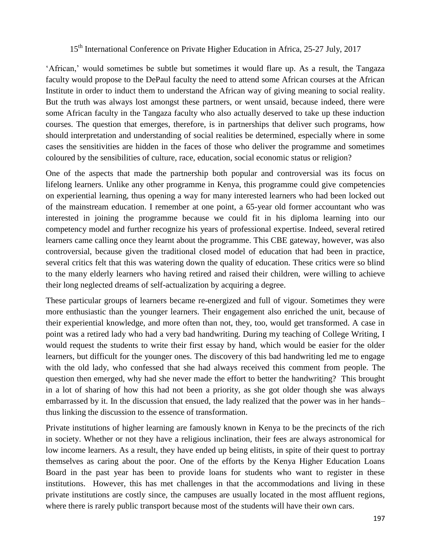‗African,' would sometimes be subtle but sometimes it would flare up. As a result, the Tangaza faculty would propose to the DePaul faculty the need to attend some African courses at the African Institute in order to induct them to understand the African way of giving meaning to social reality. But the truth was always lost amongst these partners, or went unsaid, because indeed, there were some African faculty in the Tangaza faculty who also actually deserved to take up these induction courses. The question that emerges, therefore, is in partnerships that deliver such programs, how should interpretation and understanding of social realities be determined, especially where in some cases the sensitivities are hidden in the faces of those who deliver the programme and sometimes coloured by the sensibilities of culture, race, education, social economic status or religion?

One of the aspects that made the partnership both popular and controversial was its focus on lifelong learners. Unlike any other programme in Kenya, this programme could give competencies on experiential learning, thus opening a way for many interested learners who had been locked out of the mainstream education. I remember at one point, a 65-year old former accountant who was interested in joining the programme because we could fit in his diploma learning into our competency model and further recognize his years of professional expertise. Indeed, several retired learners came calling once they learnt about the programme. This CBE gateway, however, was also controversial, because given the traditional closed model of education that had been in practice, several critics felt that this was watering down the quality of education. These critics were so blind to the many elderly learners who having retired and raised their children, were willing to achieve their long neglected dreams of self-actualization by acquiring a degree.

These particular groups of learners became re-energized and full of vigour. Sometimes they were more enthusiastic than the younger learners. Their engagement also enriched the unit, because of their experiential knowledge, and more often than not, they, too, would get transformed. A case in point was a retired lady who had a very bad handwriting. During my teaching of College Writing, I would request the students to write their first essay by hand, which would be easier for the older learners, but difficult for the younger ones. The discovery of this bad handwriting led me to engage with the old lady, who confessed that she had always received this comment from people. The question then emerged, why had she never made the effort to better the handwriting? This brought in a lot of sharing of how this had not been a priority, as she got older though she was always embarrassed by it. In the discussion that ensued, the lady realized that the power was in her hands– thus linking the discussion to the essence of transformation.

Private institutions of higher learning are famously known in Kenya to be the precincts of the rich in society. Whether or not they have a religious inclination, their fees are always astronomical for low income learners. As a result, they have ended up being elitists, in spite of their quest to portray themselves as caring about the poor. One of the efforts by the Kenya Higher Education Loans Board in the past year has been to provide loans for students who want to register in these institutions. However, this has met challenges in that the accommodations and living in these private institutions are costly since, the campuses are usually located in the most affluent regions, where there is rarely public transport because most of the students will have their own cars.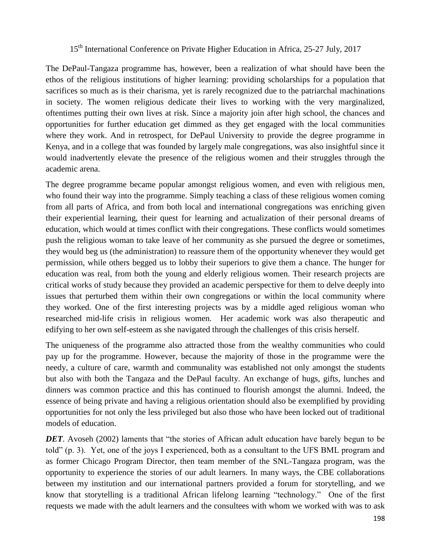The DePaul-Tangaza programme has, however, been a realization of what should have been the ethos of the religious institutions of higher learning: providing scholarships for a population that sacrifices so much as is their charisma, yet is rarely recognized due to the patriarchal machinations in society. The women religious dedicate their lives to working with the very marginalized, oftentimes putting their own lives at risk. Since a majority join after high school, the chances and opportunities for further education get dimmed as they get engaged with the local communities where they work. And in retrospect, for DePaul University to provide the degree programme in Kenya, and in a college that was founded by largely male congregations, was also insightful since it would inadvertently elevate the presence of the religious women and their struggles through the academic arena.

The degree programme became popular amongst religious women, and even with religious men, who found their way into the programme. Simply teaching a class of these religious women coming from all parts of Africa, and from both local and international congregations was enriching given their experiential learning, their quest for learning and actualization of their personal dreams of education, which would at times conflict with their congregations. These conflicts would sometimes push the religious woman to take leave of her community as she pursued the degree or sometimes, they would beg us (the administration) to reassure them of the opportunity whenever they would get permission, while others begged us to lobby their superiors to give them a chance. The hunger for education was real, from both the young and elderly religious women. Their research projects are critical works of study because they provided an academic perspective for them to delve deeply into issues that perturbed them within their own congregations or within the local community where they worked. One of the first interesting projects was by a middle aged religious woman who researched mid-life crisis in religious women. Her academic work was also therapeutic and edifying to her own self-esteem as she navigated through the challenges of this crisis herself.

The uniqueness of the programme also attracted those from the wealthy communities who could pay up for the programme. However, because the majority of those in the programme were the needy, a culture of care, warmth and communality was established not only amongst the students but also with both the Tangaza and the DePaul faculty. An exchange of hugs, gifts, lunches and dinners was common practice and this has continued to flourish amongst the alumni. Indeed, the essence of being private and having a religious orientation should also be exemplified by providing opportunities for not only the less privileged but also those who have been locked out of traditional models of education.

*DET*. Avoseh (2002) laments that "the stories of African adult education have barely begun to be told‖ (p. 3). Yet, one of the joys I experienced, both as a consultant to the UFS BML program and as former Chicago Program Director, then team member of the SNL-Tangaza program, was the opportunity to experience the stories of our adult learners. In many ways, the CBE collaborations between my institution and our international partners provided a forum for storytelling, and we know that storytelling is a traditional African lifelong learning "technology." One of the first requests we made with the adult learners and the consultees with whom we worked with was to ask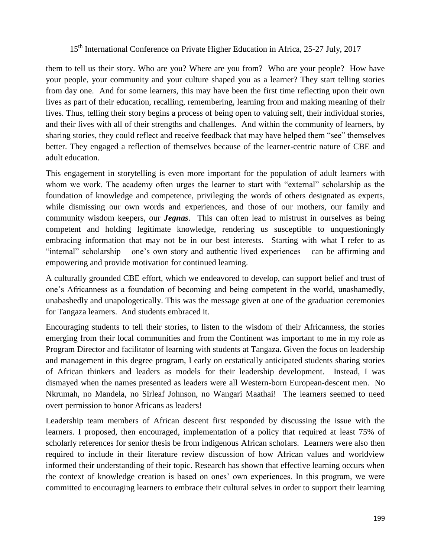them to tell us their story. Who are you? Where are you from? Who are your people? How have your people, your community and your culture shaped you as a learner? They start telling stories from day one. And for some learners, this may have been the first time reflecting upon their own lives as part of their education, recalling, remembering, learning from and making meaning of their lives. Thus, telling their story begins a process of being open to valuing self, their individual stories, and their lives with all of their strengths and challenges. And within the community of learners, by sharing stories, they could reflect and receive feedback that may have helped them "see" themselves better. They engaged a reflection of themselves because of the learner-centric nature of CBE and adult education.

This engagement in storytelling is even more important for the population of adult learners with whom we work. The academy often urges the learner to start with "external" scholarship as the foundation of knowledge and competence, privileging the words of others designated as experts, while dismissing our own words and experiences, and those of our mothers, our family and community wisdom keepers, our *Jegnas*. This can often lead to mistrust in ourselves as being competent and holding legitimate knowledge, rendering us susceptible to unquestioningly embracing information that may not be in our best interests. Starting with what I refer to as "internal" scholarship – one's own story and authentic lived experiences – can be affirming and empowering and provide motivation for continued learning.

A culturally grounded CBE effort, which we endeavored to develop, can support belief and trust of one's Africanness as a foundation of becoming and being competent in the world, unashamedly, unabashedly and unapologetically. This was the message given at one of the graduation ceremonies for Tangaza learners. And students embraced it.

Encouraging students to tell their stories, to listen to the wisdom of their Africanness, the stories emerging from their local communities and from the Continent was important to me in my role as Program Director and facilitator of learning with students at Tangaza. Given the focus on leadership and management in this degree program, I early on ecstatically anticipated students sharing stories of African thinkers and leaders as models for their leadership development. Instead, I was dismayed when the names presented as leaders were all Western-born European-descent men. No Nkrumah, no Mandela, no Sirleaf Johnson, no Wangari Maathai! The learners seemed to need overt permission to honor Africans as leaders!

Leadership team members of African descent first responded by discussing the issue with the learners. I proposed, then encouraged, implementation of a policy that required at least 75% of scholarly references for senior thesis be from indigenous African scholars. Learners were also then required to include in their literature review discussion of how African values and worldview informed their understanding of their topic. Research has shown that effective learning occurs when the context of knowledge creation is based on ones' own experiences. In this program, we were committed to encouraging learners to embrace their cultural selves in order to support their learning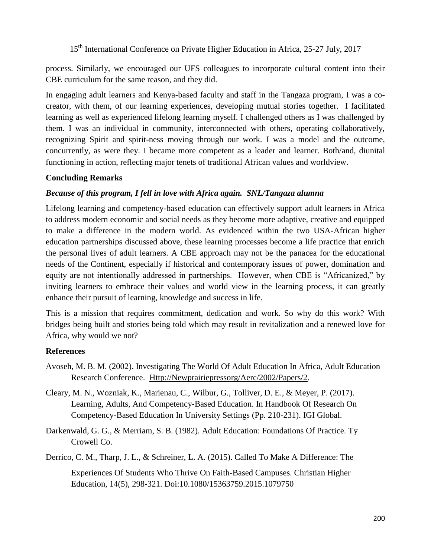process. Similarly, we encouraged our UFS colleagues to incorporate cultural content into their CBE curriculum for the same reason, and they did.

In engaging adult learners and Kenya-based faculty and staff in the Tangaza program, I was a cocreator, with them, of our learning experiences, developing mutual stories together. I facilitated learning as well as experienced lifelong learning myself. I challenged others as I was challenged by them. I was an individual in community, interconnected with others, operating collaboratively, recognizing Spirit and spirit-ness moving through our work. I was a model and the outcome, concurrently, as were they. I became more competent as a leader and learner. Both/and, diunital functioning in action, reflecting major tenets of traditional African values and worldview.

### **Concluding Remarks**

### *Because of this program, I fell in love with Africa again. SNL/Tangaza alumna*

Lifelong learning and competency-based education can effectively support adult learners in Africa to address modern economic and social needs as they become more adaptive, creative and equipped to make a difference in the modern world. As evidenced within the two USA-African higher education partnerships discussed above, these learning processes become a life practice that enrich the personal lives of adult learners. A CBE approach may not be the panacea for the educational needs of the Continent, especially if historical and contemporary issues of power, domination and equity are not intentionally addressed in partnerships. However, when CBE is "Africanized," by inviting learners to embrace their values and world view in the learning process, it can greatly enhance their pursuit of learning, knowledge and success in life.

This is a mission that requires commitment, dedication and work. So why do this work? With bridges being built and stories being told which may result in revitalization and a renewed love for Africa, why would we not?

### **References**

- Avoseh, M. B. M. (2002). Investigating The World Of Adult Education In Africa, Adult Education Research Conference. [Http://Newprairiepressorg/Aerc/2002/Papers/2.](http://newprairiepressorg/aerc/2002/papers/2)
- Cleary, M. N., Wozniak, K., Marienau, C., Wilbur, G., Tolliver, D. E., & Meyer, P. (2017). Learning, Adults, And Competency-Based Education. In Handbook Of Research On Competency-Based Education In University Settings (Pp. 210-231). IGI Global.
- Darkenwald, G. G., & Merriam, S. B. (1982). Adult Education: Foundations Of Practice. Ty Crowell Co.
- Derrico, C. M., Tharp, J. L., & Schreiner, L. A. (2015). Called To Make A Difference: The

Experiences Of Students Who Thrive On Faith-Based Campuses. Christian Higher Education, 14(5), 298-321. Doi:10.1080/15363759.2015.1079750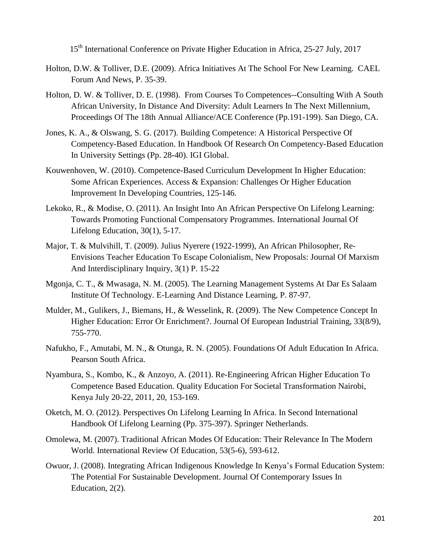- Holton, D.W. & Tolliver, D.E. (2009). Africa Initiatives At The School For New Learning. CAEL Forum And News, P. 35-39.
- Holton, D. W. & Tolliver, D. E. (1998). From Courses To Competences--Consulting With A South African University, In Distance And Diversity: Adult Learners In The Next Millennium, Proceedings Of The 18th Annual Alliance/ACE Conference (Pp.191-199). San Diego, CA.
- Jones, K. A., & Olswang, S. G. (2017). Building Competence: A Historical Perspective Of Competency-Based Education. In Handbook Of Research On Competency-Based Education In University Settings (Pp. 28-40). IGI Global.
- Kouwenhoven, W. (2010). Competence-Based Curriculum Development In Higher Education: Some African Experiences. Access & Expansion: Challenges Or Higher Education Improvement In Developing Countries, 125-146.
- Lekoko, R., & Modise, O. (2011). An Insight Into An African Perspective On Lifelong Learning: Towards Promoting Functional Compensatory Programmes. International Journal Of Lifelong Education, 30(1), 5-17.
- Major, T. & Mulvihill, T. (2009). Julius Nyerere (1922-1999), An African Philosopher, Re-Envisions Teacher Education To Escape Colonialism, New Proposals: Journal Of Marxism And Interdisciplinary Inquiry, 3(1) P. 15-22
- Mgonja, C. T., & Mwasaga, N. M. (2005). The Learning Management Systems At Dar Es Salaam Institute Of Technology. E-Learning And Distance Learning, P. 87-97.
- Mulder, M., Gulikers, J., Biemans, H., & Wesselink, R. (2009). The New Competence Concept In Higher Education: Error Or Enrichment?. Journal Of European Industrial Training, 33(8/9), 755-770.
- Nafukho, F., Amutabi, M. N., & Otunga, R. N. (2005). Foundations Of Adult Education In Africa. Pearson South Africa.
- Nyambura, S., Kombo, K., & Anzoyo, A. (2011). Re-Engineering African Higher Education To Competence Based Education. Quality Education For Societal Transformation Nairobi, Kenya July 20-22, 2011, 20, 153-169.
- Oketch, M. O. (2012). Perspectives On Lifelong Learning In Africa. In Second International Handbook Of Lifelong Learning (Pp. 375-397). Springer Netherlands.
- Omolewa, M. (2007). Traditional African Modes Of Education: Their Relevance In The Modern World. International Review Of Education, 53(5-6), 593-612.
- Owuor, J. (2008). Integrating African Indigenous Knowledge In Kenya's Formal Education System: The Potential For Sustainable Development. Journal Of Contemporary Issues In Education, 2(2).